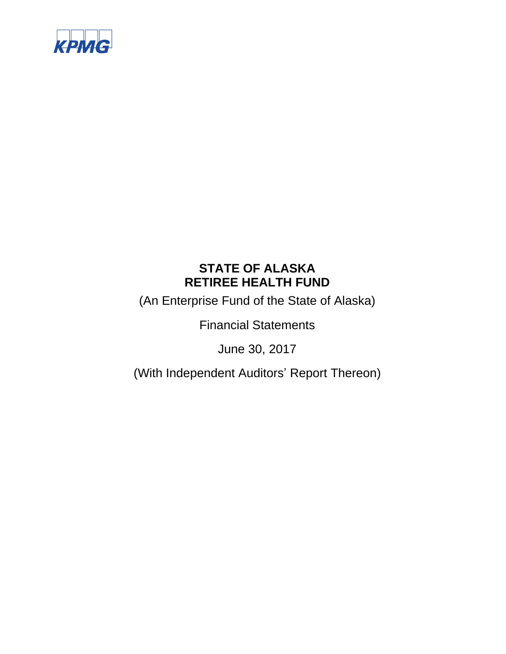

(An Enterprise Fund of the State of Alaska)

Financial Statements

June 30, 2017

(With Independent Auditors' Report Thereon)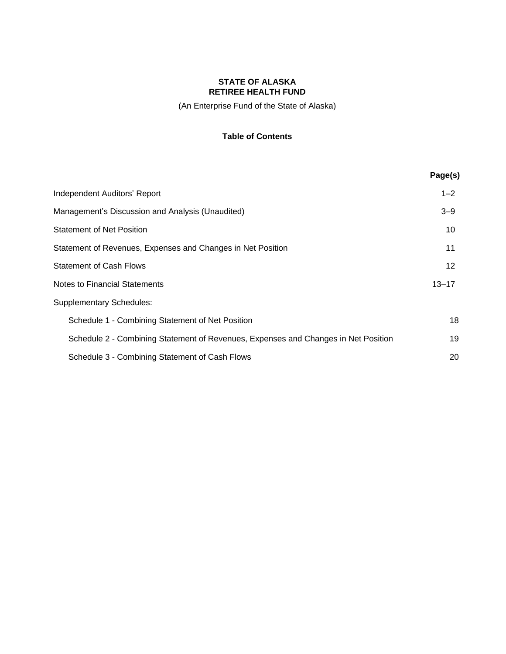(An Enterprise Fund of the State of Alaska)

# **Table of Contents**

|                                                                                    | Page(s)   |
|------------------------------------------------------------------------------------|-----------|
| Independent Auditors' Report                                                       | $1 - 2$   |
| Management's Discussion and Analysis (Unaudited)                                   | $3 - 9$   |
| <b>Statement of Net Position</b>                                                   | 10        |
| Statement of Revenues, Expenses and Changes in Net Position                        | 11        |
| <b>Statement of Cash Flows</b>                                                     | 12        |
| Notes to Financial Statements                                                      | $13 - 17$ |
| <b>Supplementary Schedules:</b>                                                    |           |
| Schedule 1 - Combining Statement of Net Position                                   | 18        |
| Schedule 2 - Combining Statement of Revenues, Expenses and Changes in Net Position | 19        |
| Schedule 3 - Combining Statement of Cash Flows                                     | 20        |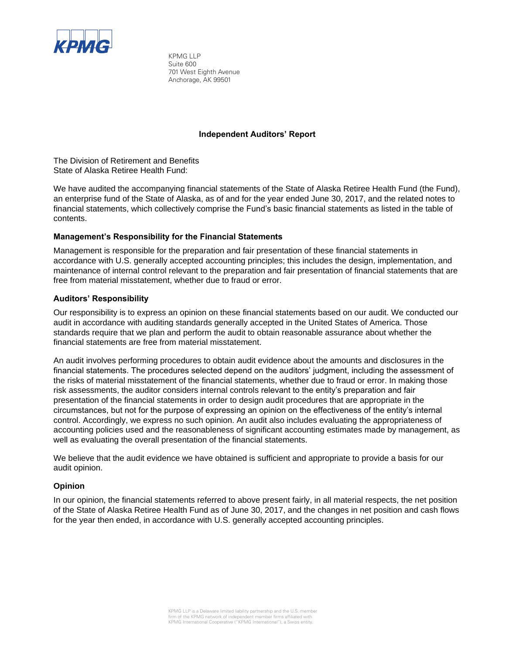

KPMG LLP Suite 600 701 West Eighth Avenue Anchorage, AK 99501

# **Independent Auditors' Report**

The Division of Retirement and Benefits State of Alaska Retiree Health Fund:

We have audited the accompanying financial statements of the State of Alaska Retiree Health Fund (the Fund), an enterprise fund of the State of Alaska, as of and for the year ended June 30, 2017, and the related notes to financial statements, which collectively comprise the Fund's basic financial statements as listed in the table of contents.

# **Management's Responsibility for the Financial Statements**

Management is responsible for the preparation and fair presentation of these financial statements in accordance with U.S. generally accepted accounting principles; this includes the design, implementation, and maintenance of internal control relevant to the preparation and fair presentation of financial statements that are free from material misstatement, whether due to fraud or error.

# **Auditors' Responsibility**

Our responsibility is to express an opinion on these financial statements based on our audit. We conducted our audit in accordance with auditing standards generally accepted in the United States of America. Those standards require that we plan and perform the audit to obtain reasonable assurance about whether the financial statements are free from material misstatement.

An audit involves performing procedures to obtain audit evidence about the amounts and disclosures in the financial statements. The procedures selected depend on the auditors' judgment, including the assessment of the risks of material misstatement of the financial statements, whether due to fraud or error. In making those risk assessments, the auditor considers internal controls relevant to the entity's preparation and fair presentation of the financial statements in order to design audit procedures that are appropriate in the circumstances, but not for the purpose of expressing an opinion on the effectiveness of the entity's internal control. Accordingly, we express no such opinion. An audit also includes evaluating the appropriateness of accounting policies used and the reasonableness of significant accounting estimates made by management, as well as evaluating the overall presentation of the financial statements.

We believe that the audit evidence we have obtained is sufficient and appropriate to provide a basis for our audit opinion.

### **Opinion**

In our opinion, the financial statements referred to above present fairly, in all material respects, the net position of the State of Alaska Retiree Health Fund as of June 30, 2017, and the changes in net position and cash flows for the year then ended, in accordance with U.S. generally accepted accounting principles.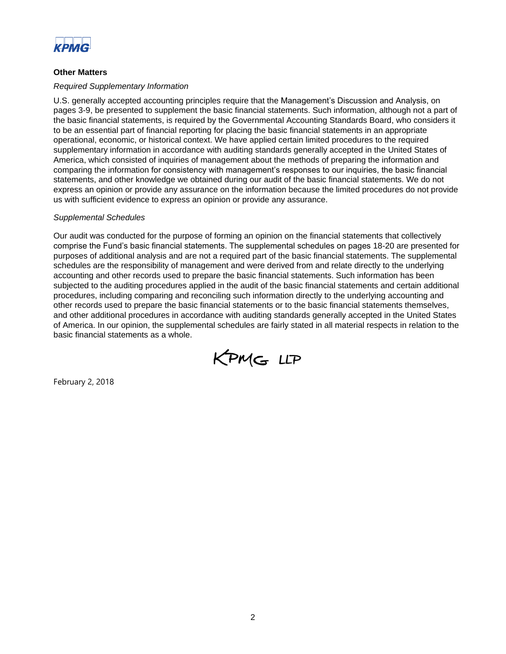

# **Other Matters**

### *Required Supplementary Information*

U.S. generally accepted accounting principles require that the Management's Discussion and Analysis, on pages 3-9, be presented to supplement the basic financial statements. Such information, although not a part of the basic financial statements, is required by the Governmental Accounting Standards Board, who considers it to be an essential part of financial reporting for placing the basic financial statements in an appropriate operational, economic, or historical context. We have applied certain limited procedures to the required supplementary information in accordance with auditing standards generally accepted in the United States of America, which consisted of inquiries of management about the methods of preparing the information and comparing the information for consistency with management's responses to our inquiries, the basic financial statements, and other knowledge we obtained during our audit of the basic financial statements. We do not express an opinion or provide any assurance on the information because the limited procedures do not provide us with sufficient evidence to express an opinion or provide any assurance.

### *Supplemental Schedules*

Our audit was conducted for the purpose of forming an opinion on the financial statements that collectively comprise the Fund's basic financial statements. The supplemental schedules on pages 18-20 are presented for purposes of additional analysis and are not a required part of the basic financial statements. The supplemental schedules are the responsibility of management and were derived from and relate directly to the underlying accounting and other records used to prepare the basic financial statements. Such information has been subjected to the auditing procedures applied in the audit of the basic financial statements and certain additional procedures, including comparing and reconciling such information directly to the underlying accounting and other records used to prepare the basic financial statements or to the basic financial statements themselves, and other additional procedures in accordance with auditing standards generally accepted in the United States of America. In our opinion, the supplemental schedules are fairly stated in all material respects in relation to the basic financial statements as a whole.



February 2, 2018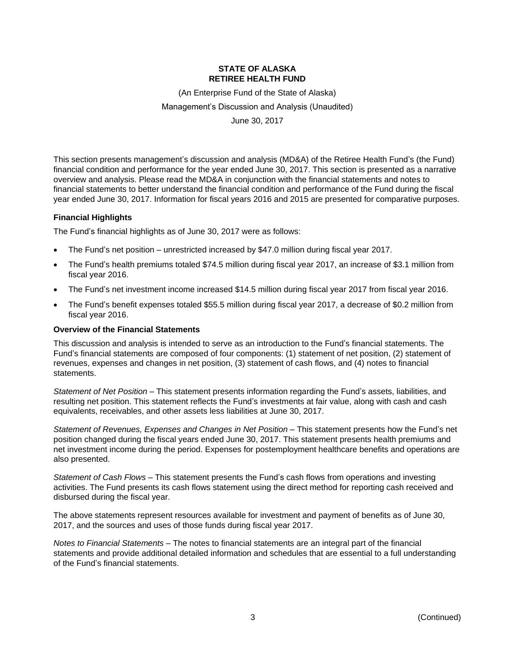(An Enterprise Fund of the State of Alaska)

Management's Discussion and Analysis (Unaudited)

June 30, 2017

This section presents management's discussion and analysis (MD&A) of the Retiree Health Fund's (the Fund) financial condition and performance for the year ended June 30, 2017. This section is presented as a narrative overview and analysis. Please read the MD&A in conjunction with the financial statements and notes to financial statements to better understand the financial condition and performance of the Fund during the fiscal year ended June 30, 2017. Information for fiscal years 2016 and 2015 are presented for comparative purposes.

### **Financial Highlights**

The Fund's financial highlights as of June 30, 2017 were as follows:

- The Fund's net position unrestricted increased by \$47.0 million during fiscal year 2017.
- The Fund's health premiums totaled \$74.5 million during fiscal year 2017, an increase of \$3.1 million from fiscal year 2016.
- The Fund's net investment income increased \$14.5 million during fiscal year 2017 from fiscal year 2016.
- The Fund's benefit expenses totaled \$55.5 million during fiscal year 2017, a decrease of \$0.2 million from fiscal year 2016.

### **Overview of the Financial Statements**

This discussion and analysis is intended to serve as an introduction to the Fund's financial statements. The Fund's financial statements are composed of four components: (1) statement of net position, (2) statement of revenues, expenses and changes in net position, (3) statement of cash flows, and (4) notes to financial statements.

*Statement of Net Position* – This statement presents information regarding the Fund's assets, liabilities, and resulting net position. This statement reflects the Fund's investments at fair value, along with cash and cash equivalents, receivables, and other assets less liabilities at June 30, 2017.

*Statement of Revenues, Expenses and Changes in Net Position* – This statement presents how the Fund's net position changed during the fiscal years ended June 30, 2017. This statement presents health premiums and net investment income during the period. Expenses for postemployment healthcare benefits and operations are also presented.

*Statement of Cash Flows* – This statement presents the Fund's cash flows from operations and investing activities. The Fund presents its cash flows statement using the direct method for reporting cash received and disbursed during the fiscal year.

The above statements represent resources available for investment and payment of benefits as of June 30, 2017, and the sources and uses of those funds during fiscal year 2017.

*Notes to Financial Statements* – The notes to financial statements are an integral part of the financial statements and provide additional detailed information and schedules that are essential to a full understanding of the Fund's financial statements.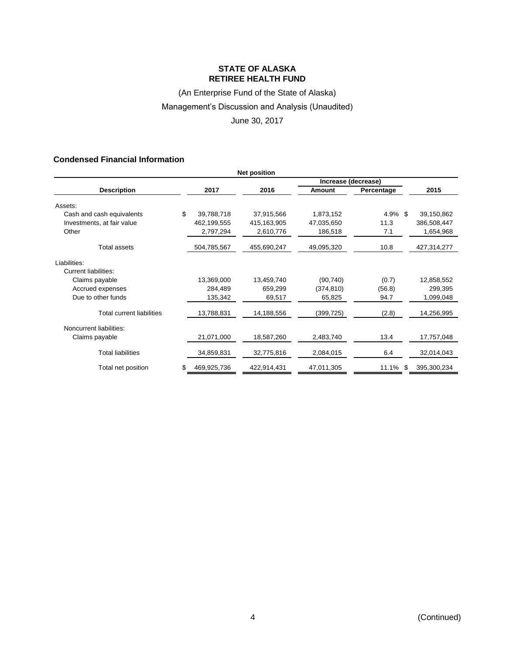# (An Enterprise Fund of the State of Alaska)

# Management's Discussion and Analysis (Unaudited)

# June 30, 2017

# **Condensed Financial Information**

| <b>Net position</b>        |    |             |               |                     |             |             |
|----------------------------|----|-------------|---------------|---------------------|-------------|-------------|
|                            |    |             |               | Increase (decrease) |             |             |
| <b>Description</b>         |    | 2017        | 2016          | Amount              | Percentage  | 2015        |
| Assets:                    |    |             |               |                     |             |             |
| Cash and cash equivalents  | \$ | 39,788,718  | 37,915,566    | 1,873,152           | 4.9%<br>-\$ | 39,150,862  |
| Investments, at fair value |    | 462,199,555 | 415, 163, 905 | 47,035,650          | 11.3        | 386,508,447 |
| Other                      |    | 2,797,294   | 2,610,776     | 186,518             | 7.1         | 1,654,968   |
| <b>Total assets</b>        |    | 504,785,567 | 455,690,247   | 49,095,320          | 10.8        | 427,314,277 |
| Liabilities:               |    |             |               |                     |             |             |
| Current liabilities:       |    |             |               |                     |             |             |
| Claims payable             |    | 13,369,000  | 13,459,740    | (90, 740)           | (0.7)       | 12,858,552  |
| Accrued expenses           |    | 284,489     | 659,299       | (374, 810)          | (56.8)      | 299,395     |
| Due to other funds         |    | 135,342     | 69,517        | 65,825              | 94.7        | 1,099,048   |
| Total current liabilities  |    | 13,788,831  | 14,188,556    | (399, 725)          | (2.8)       | 14,256,995  |
| Noncurrent liabilities:    |    |             |               |                     |             |             |
| Claims payable             |    | 21,071,000  | 18,587,260    | 2,483,740           | 13.4        | 17,757,048  |
| <b>Total liabilities</b>   |    | 34,859,831  | 32,775,816    | 2,084,015           | 6.4         | 32,014,043  |
| Total net position         | S  | 469,925,736 | 422,914,431   | 47,011,305          | 11.1%<br>\$ | 395,300,234 |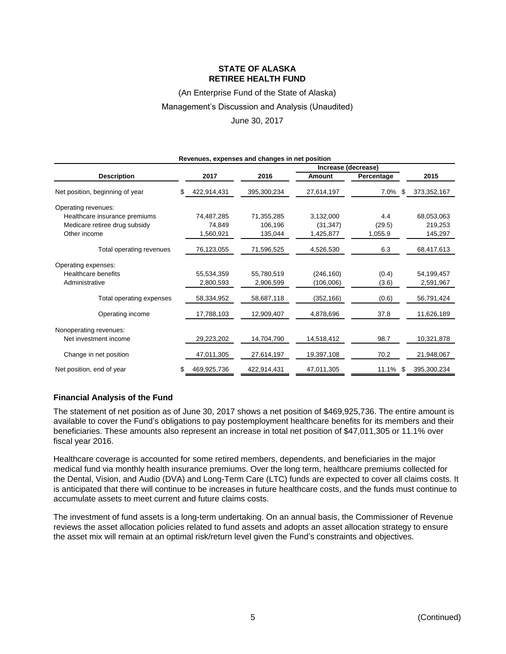### (An Enterprise Fund of the State of Alaska)

### Management's Discussion and Analysis (Unaudited)

### June 30, 2017

| Revenues, expenses and changes in net position |    |             |             |                     |            |             |
|------------------------------------------------|----|-------------|-------------|---------------------|------------|-------------|
|                                                |    |             |             | Increase (decrease) |            |             |
| <b>Description</b>                             |    | 2017        | 2016        | <b>Amount</b>       | Percentage | 2015        |
| Net position, beginning of year                | \$ | 422,914,431 | 395,300,234 | 27,614,197          | 7.0%<br>\$ | 373,352,167 |
| Operating revenues:                            |    |             |             |                     |            |             |
| Healthcare insurance premiums                  |    | 74,487,285  | 71,355,285  | 3,132,000           | 4.4        | 68,053,063  |
| Medicare retiree drug subsidy                  |    | 74,849      | 106,196     | (31, 347)           | (29.5)     | 219,253     |
| Other income                                   |    | 1,560,921   | 135,044     | 1,425,877           | 1,055.9    | 145,297     |
| Total operating revenues                       |    | 76,123,055  | 71,596,525  | 4,526,530           | 6.3        | 68,417,613  |
| Operating expenses:                            |    |             |             |                     |            |             |
| Healthcare benefits                            |    | 55,534,359  | 55,780,519  | (246, 160)          | (0.4)      | 54,199,457  |
| Administrative                                 |    | 2,800,593   | 2,906,599   | (106,006)           | (3.6)      | 2,591,967   |
| Total operating expenses                       |    | 58,334,952  | 58,687,118  | (352, 166)          | (0.6)      | 56,791,424  |
| Operating income                               |    | 17,788,103  | 12,909,407  | 4,878,696           | 37.8       | 11,626,189  |
| Nonoperating revenues:                         |    |             |             |                     |            |             |
| Net investment income                          |    | 29,223,202  | 14,704,790  | 14,518,412          | 98.7       | 10,321,878  |
| Change in net position                         |    | 47,011,305  | 27,614,197  | 19,397,108          | 70.2       | 21,948,067  |
| Net position, end of year                      | S  | 469,925,736 | 422,914,431 | 47,011,305          | 11.1%<br>S | 395,300,234 |

### **Financial Analysis of the Fund**

The statement of net position as of June 30, 2017 shows a net position of \$469,925,736. The entire amount is available to cover the Fund's obligations to pay postemployment healthcare benefits for its members and their beneficiaries. These amounts also represent an increase in total net position of \$47,011,305 or 11.1% over fiscal year 2016.

Healthcare coverage is accounted for some retired members, dependents, and beneficiaries in the major medical fund via monthly health insurance premiums. Over the long term, healthcare premiums collected for the Dental, Vision, and Audio (DVA) and Long-Term Care (LTC) funds are expected to cover all claims costs. It is anticipated that there will continue to be increases in future healthcare costs, and the funds must continue to accumulate assets to meet current and future claims costs.

The investment of fund assets is a long-term undertaking. On an annual basis, the Commissioner of Revenue reviews the asset allocation policies related to fund assets and adopts an asset allocation strategy to ensure the asset mix will remain at an optimal risk/return level given the Fund's constraints and objectives.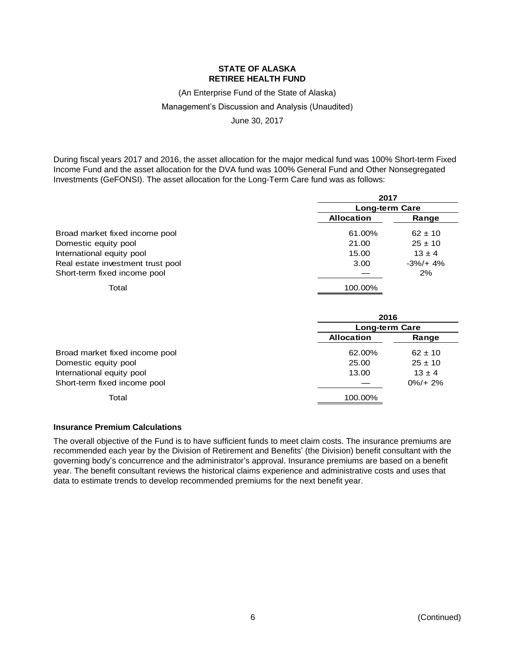(An Enterprise Fund of the State of Alaska)

Management's Discussion and Analysis (Unaudited)

June 30, 2017

During fiscal years 2017 and 2016, the asset allocation for the major medical fund was 100% Short-term Fixed Income Fund and the asset allocation for the DVA fund was 100% General Fund and Other Nonsegregated Investments (GeFONSI). The asset allocation for the Long-Term Care fund was as follows:

|                                   |                   | 2017<br><b>Long-term Care</b> |  |  |
|-----------------------------------|-------------------|-------------------------------|--|--|
|                                   |                   |                               |  |  |
|                                   | <b>Allocation</b> | Range                         |  |  |
| Broad market fixed income pool    | 61.00%            | $62 \pm 10$                   |  |  |
| Domestic equity pool              | 21.00             | $25 \pm 10$                   |  |  |
| International equity pool         | 15.00             | $13 \pm 4$                    |  |  |
| Real estate investment trust pool | 3.00              | $-3\%/+4\%$                   |  |  |
| Short-term fixed income pool      |                   | 2%                            |  |  |
| Total                             | 100.00%           |                               |  |  |

|                                |                       | 2016        |  |  |
|--------------------------------|-----------------------|-------------|--|--|
|                                | <b>Long-term Care</b> |             |  |  |
|                                | <b>Allocation</b>     | Range       |  |  |
| Broad market fixed income pool | 62.00%                | $62 \pm 10$ |  |  |
| Domestic equity pool           | 25.00                 | $25 \pm 10$ |  |  |
| International equity pool      | 13.00                 | $13 \pm 4$  |  |  |
| Short-term fixed income pool   |                       | $0\%/+2\%$  |  |  |
| Total                          | 100.00%               |             |  |  |

# **Insurance Premium Calculations**

The overall objective of the Fund is to have sufficient funds to meet claim costs. The insurance premiums are recommended each year by the Division of Retirement and Benefits' (the Division) benefit consultant with the governing body's concurrence and the administrator's approval. Insurance premiums are based on a benefit year. The benefit consultant reviews the historical claims experience and administrative costs and uses that data to estimate trends to develop recommended premiums for the next benefit year.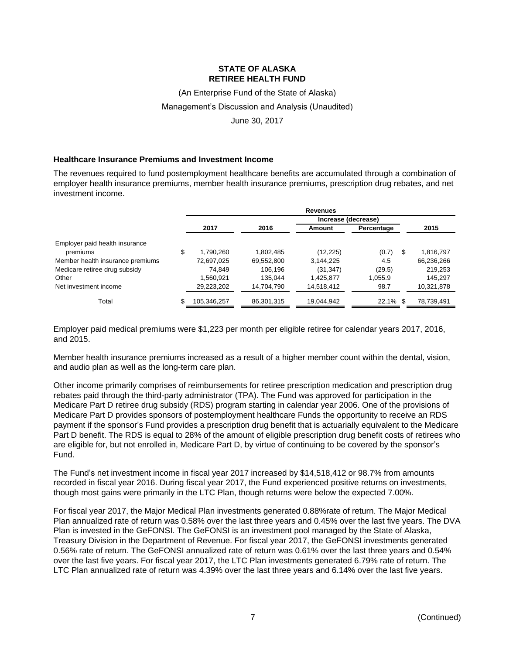(An Enterprise Fund of the State of Alaska)

### Management's Discussion and Analysis (Unaudited)

June 30, 2017

# **Healthcare Insurance Premiums and Investment Income**

The revenues required to fund postemployment healthcare benefits are accumulated through a combination of employer health insurance premiums, member health insurance premiums, prescription drug rebates, and net investment income.

|                                  | <b>Revenues</b> |             |            |                     |            |    |            |
|----------------------------------|-----------------|-------------|------------|---------------------|------------|----|------------|
|                                  |                 |             |            | Increase (decrease) |            |    |            |
|                                  |                 | 2017        | 2016       | Amount              | Percentage |    | 2015       |
| Employer paid health insurance   |                 |             |            |                     |            |    |            |
| premiums                         | \$              | 1,790,260   | 1,802,485  | (12, 225)           | (0.7)      | S  | 1,816,797  |
| Member health insurance premiums |                 | 72,697,025  | 69,552,800 | 3,144,225           | 4.5        |    | 66,236,266 |
| Medicare retiree drug subsidy    |                 | 74.849      | 106.196    | (31, 347)           | (29.5)     |    | 219,253    |
| Other                            |                 | 1.560.921   | 135.044    | 1,425,877           | 1,055.9    |    | 145.297    |
| Net investment income            |                 | 29,223,202  | 14,704,790 | 14,518,412          | 98.7       |    | 10,321,878 |
| Total                            |                 | 105,346,257 | 86,301,315 | 19,044,942          | 22.1%      | -S | 78,739,491 |

Employer paid medical premiums were \$1,223 per month per eligible retiree for calendar years 2017, 2016, and 2015.

Member health insurance premiums increased as a result of a higher member count within the dental, vision, and audio plan as well as the long-term care plan.

Other income primarily comprises of reimbursements for retiree prescription medication and prescription drug rebates paid through the third-party administrator (TPA). The Fund was approved for participation in the Medicare Part D retiree drug subsidy (RDS) program starting in calendar year 2006. One of the provisions of Medicare Part D provides sponsors of postemployment healthcare Funds the opportunity to receive an RDS payment if the sponsor's Fund provides a prescription drug benefit that is actuarially equivalent to the Medicare Part D benefit. The RDS is equal to 28% of the amount of eligible prescription drug benefit costs of retirees who are eligible for, but not enrolled in, Medicare Part D, by virtue of continuing to be covered by the sponsor's Fund.

The Fund's net investment income in fiscal year 2017 increased by \$14,518,412 or 98.7% from amounts recorded in fiscal year 2016. During fiscal year 2017, the Fund experienced positive returns on investments, though most gains were primarily in the LTC Plan, though returns were below the expected 7.00%.

For fiscal year 2017, the Major Medical Plan investments generated 0.88%rate of return. The Major Medical Plan annualized rate of return was 0.58% over the last three years and 0.45% over the last five years. The DVA Plan is invested in the GeFONSI. The GeFONSI is an investment pool managed by the State of Alaska, Treasury Division in the Department of Revenue. For fiscal year 2017, the GeFONSI investments generated 0.56% rate of return. The GeFONSI annualized rate of return was 0.61% over the last three years and 0.54% over the last five years. For fiscal year 2017, the LTC Plan investments generated 6.79% rate of return. The LTC Plan annualized rate of return was 4.39% over the last three years and 6.14% over the last five years.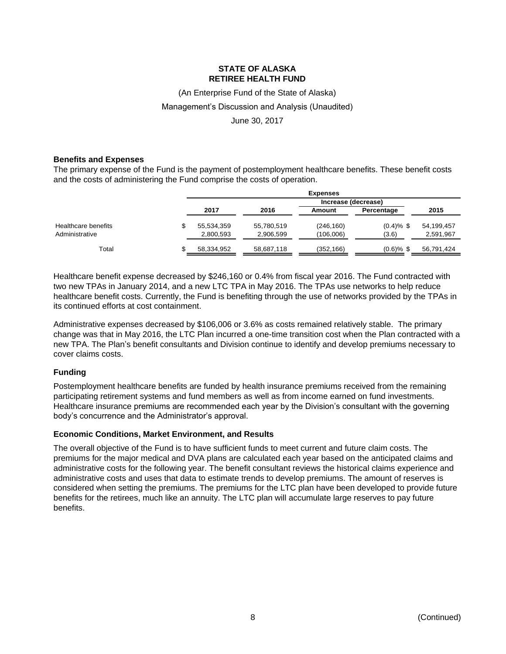### (An Enterprise Fund of the State of Alaska)

### Management's Discussion and Analysis (Unaudited)

### June 30, 2017

### **Benefits and Expenses**

The primary expense of the Fund is the payment of postemployment healthcare benefits. These benefit costs and the costs of administering the Fund comprise the costs of operation.

|                     | <b>Expenses</b>     |            |            |               |            |  |
|---------------------|---------------------|------------|------------|---------------|------------|--|
|                     | Increase (decrease) |            |            |               |            |  |
|                     | 2017                | 2016       | Amount     | Percentage    | 2015       |  |
| Healthcare benefits | 55,534,359          | 55,780,519 | (246, 160) | $(0.4) \%$ \$ | 54,199,457 |  |
| Administrative      | 2.800.593           | 2,906,599  | (106,006)  | (3.6)         | 2,591,967  |  |
| Total               | 58,334,952          | 58,687,118 | (352, 166) | $(0.6)$ % \$  | 56,791,424 |  |

Healthcare benefit expense decreased by \$246,160 or 0.4% from fiscal year 2016. The Fund contracted with two new TPAs in January 2014, and a new LTC TPA in May 2016. The TPAs use networks to help reduce healthcare benefit costs. Currently, the Fund is benefiting through the use of networks provided by the TPAs in its continued efforts at cost containment.

Administrative expenses decreased by \$106,006 or 3.6% as costs remained relatively stable. The primary change was that in May 2016, the LTC Plan incurred a one-time transition cost when the Plan contracted with a new TPA. The Plan's benefit consultants and Division continue to identify and develop premiums necessary to cover claims costs.

### **Funding**

Postemployment healthcare benefits are funded by health insurance premiums received from the remaining participating retirement systems and fund members as well as from income earned on fund investments. Healthcare insurance premiums are recommended each year by the Division's consultant with the governing body's concurrence and the Administrator's approval.

### **Economic Conditions, Market Environment, and Results**

The overall objective of the Fund is to have sufficient funds to meet current and future claim costs. The premiums for the major medical and DVA plans are calculated each year based on the anticipated claims and administrative costs for the following year. The benefit consultant reviews the historical claims experience and administrative costs and uses that data to estimate trends to develop premiums. The amount of reserves is considered when setting the premiums. The premiums for the LTC plan have been developed to provide future benefits for the retirees, much like an annuity. The LTC plan will accumulate large reserves to pay future benefits.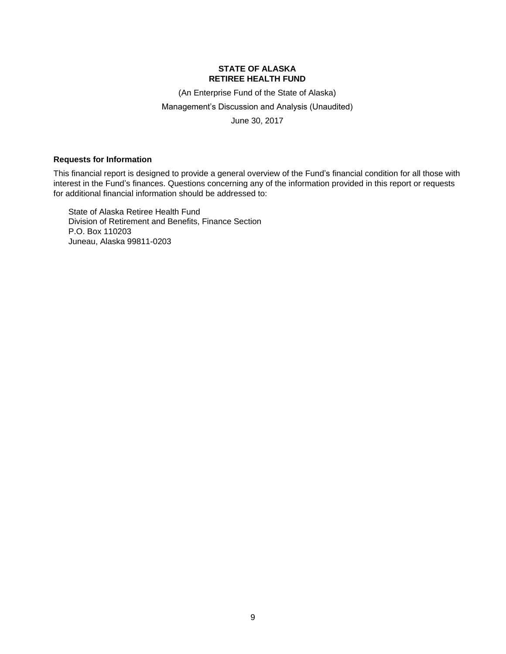(An Enterprise Fund of the State of Alaska)

Management's Discussion and Analysis (Unaudited)

June 30, 2017

### **Requests for Information**

This financial report is designed to provide a general overview of the Fund's financial condition for all those with interest in the Fund's finances. Questions concerning any of the information provided in this report or requests for additional financial information should be addressed to:

State of Alaska Retiree Health Fund Division of Retirement and Benefits, Finance Section P.O. Box 110203 Juneau, Alaska 99811-0203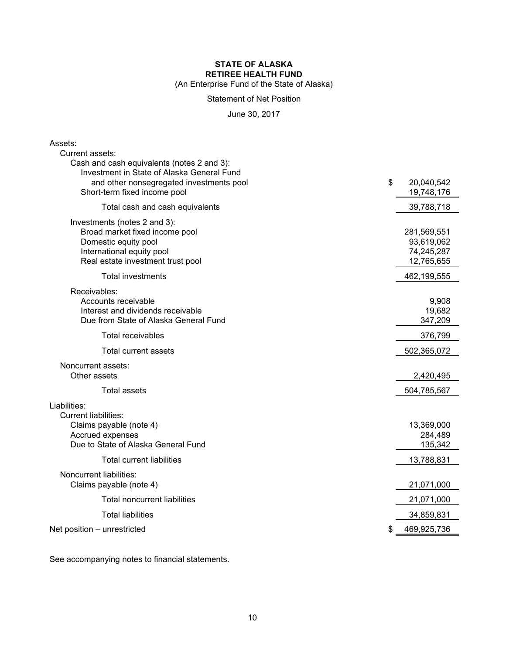(An Enterprise Fund of the State of Alaska)

# Statement of Net Position

June 30, 2017

| Assets:                                                                                                                                                                                 |    |                                                       |
|-----------------------------------------------------------------------------------------------------------------------------------------------------------------------------------------|----|-------------------------------------------------------|
| Current assets:<br>Cash and cash equivalents (notes 2 and 3):<br>Investment in State of Alaska General Fund<br>and other nonsegregated investments pool<br>Short-term fixed income pool | \$ | 20,040,542<br>19,748,176                              |
| Total cash and cash equivalents                                                                                                                                                         |    | 39,788,718                                            |
| Investments (notes 2 and 3):<br>Broad market fixed income pool<br>Domestic equity pool<br>International equity pool<br>Real estate investment trust pool                                |    | 281,569,551<br>93,619,062<br>74,245,287<br>12,765,655 |
| <b>Total investments</b>                                                                                                                                                                |    | 462,199,555                                           |
| Receivables:<br>Accounts receivable<br>Interest and dividends receivable<br>Due from State of Alaska General Fund                                                                       |    | 9,908<br>19,682<br>347,209                            |
| Total receivables                                                                                                                                                                       |    | 376,799                                               |
| Total current assets                                                                                                                                                                    |    | 502,365,072                                           |
| Noncurrent assets:<br>Other assets                                                                                                                                                      |    | 2,420,495                                             |
| <b>Total assets</b>                                                                                                                                                                     |    | 504,785,567                                           |
| Liabilities:<br>Current liabilities:<br>Claims payable (note 4)<br>Accrued expenses<br>Due to State of Alaska General Fund                                                              |    | 13,369,000<br>284,489<br>135,342                      |
| <b>Total current liabilities</b>                                                                                                                                                        |    | 13,788,831                                            |
| Noncurrent liabilities:<br>Claims payable (note 4)                                                                                                                                      |    | 21,071,000                                            |
| <b>Total noncurrent liabilities</b>                                                                                                                                                     |    | 21,071,000                                            |
| <b>Total liabilities</b>                                                                                                                                                                |    | 34,859,831                                            |
| Net position - unrestricted                                                                                                                                                             | S  | 469,925,736                                           |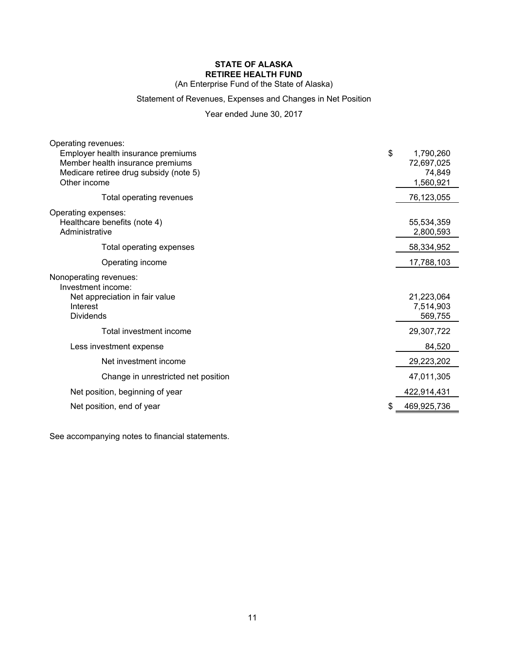(An Enterprise Fund of the State of Alaska)

# Statement of Revenues, Expenses and Changes in Net Position

Year ended June 30, 2017

| Operating revenues:                    |    |             |
|----------------------------------------|----|-------------|
| Employer health insurance premiums     | \$ | 1,790,260   |
| Member health insurance premiums       |    | 72,697,025  |
| Medicare retiree drug subsidy (note 5) |    | 74,849      |
| Other income                           |    | 1,560,921   |
| Total operating revenues               |    | 76,123,055  |
| Operating expenses:                    |    |             |
| Healthcare benefits (note 4)           |    | 55,534,359  |
| Administrative                         |    | 2,800,593   |
| Total operating expenses               |    | 58,334,952  |
| Operating income                       |    | 17,788,103  |
| Nonoperating revenues:                 |    |             |
| Investment income:                     |    |             |
| Net appreciation in fair value         |    | 21,223,064  |
| Interest                               |    | 7,514,903   |
| <b>Dividends</b>                       |    | 569,755     |
| Total investment income                |    | 29,307,722  |
| Less investment expense                |    | 84,520      |
| Net investment income                  |    | 29,223,202  |
| Change in unrestricted net position    |    | 47,011,305  |
| Net position, beginning of year        |    | 422,914,431 |
| Net position, end of year              | S  | 469,925,736 |
|                                        |    |             |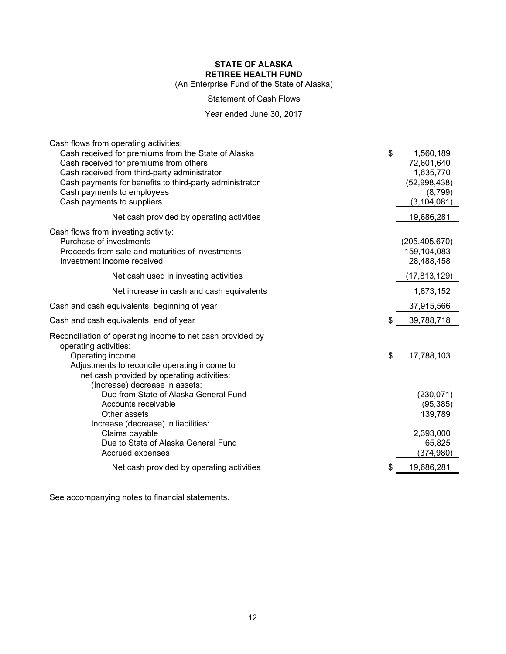(An Enterprise Fund of the State of Alaska)

Statement of Cash Flows

Year ended June 30, 2017

| Cash flows from operating activities:                                                  |                         |
|----------------------------------------------------------------------------------------|-------------------------|
| Cash received for premiums from the State of Alaska                                    | \$<br>1,560,189         |
| Cash received for premiums from others<br>Cash received from third-party administrator | 72,601,640<br>1,635,770 |
| Cash payments for benefits to third-party administrator                                | (52,998,438)            |
| Cash payments to employees                                                             | (8,799)                 |
| Cash payments to suppliers                                                             | (3, 104, 081)           |
| Net cash provided by operating activities                                              | 19,686,281              |
| Cash flows from investing activity:                                                    |                         |
| Purchase of investments                                                                | (205, 405, 670)         |
| Proceeds from sale and maturities of investments                                       | 159,104,083             |
| Investment income received                                                             | 28,488,458              |
| Net cash used in investing activities                                                  | (17, 813, 129)          |
| Net increase in cash and cash equivalents                                              | 1,873,152               |
| Cash and cash equivalents, beginning of year                                           | 37,915,566              |
| Cash and cash equivalents, end of year                                                 | \$<br>39,788,718        |
| Reconciliation of operating income to net cash provided by                             |                         |
| operating activities:                                                                  |                         |
| Operating income                                                                       | \$<br>17,788,103        |
| Adjustments to reconcile operating income to                                           |                         |
| net cash provided by operating activities:                                             |                         |
| (Increase) decrease in assets:                                                         |                         |
| Due from State of Alaska General Fund                                                  | (230, 071)              |
| Accounts receivable                                                                    | (95, 385)               |
| Other assets                                                                           | 139,789                 |
| Increase (decrease) in liabilities:                                                    |                         |
| Claims payable<br>Due to State of Alaska General Fund                                  | 2,393,000<br>65,825     |
| Accrued expenses                                                                       | (374, 980)              |
|                                                                                        |                         |
| Net cash provided by operating activities                                              | \$<br>19,686,281        |
|                                                                                        |                         |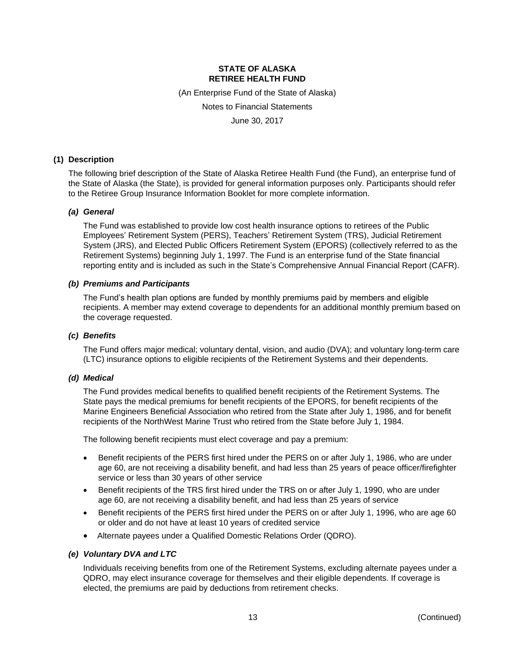(An Enterprise Fund of the State of Alaska)

Notes to Financial Statements

June 30, 2017

### **(1) Description**

The following brief description of the State of Alaska Retiree Health Fund (the Fund), an enterprise fund of the State of Alaska (the State), is provided for general information purposes only. Participants should refer to the Retiree Group Insurance Information Booklet for more complete information.

# *(a) General*

The Fund was established to provide low cost health insurance options to retirees of the Public Employees' Retirement System (PERS), Teachers' Retirement System (TRS), Judicial Retirement System (JRS), and Elected Public Officers Retirement System (EPORS) (collectively referred to as the Retirement Systems) beginning July 1, 1997. The Fund is an enterprise fund of the State financial reporting entity and is included as such in the State's Comprehensive Annual Financial Report (CAFR).

# *(b) Premiums and Participants*

The Fund's health plan options are funded by monthly premiums paid by members and eligible recipients. A member may extend coverage to dependents for an additional monthly premium based on the coverage requested.

### *(c) Benefits*

The Fund offers major medical; voluntary dental, vision, and audio (DVA); and voluntary long-term care (LTC) insurance options to eligible recipients of the Retirement Systems and their dependents.

### *(d) Medical*

The Fund provides medical benefits to qualified benefit recipients of the Retirement Systems. The State pays the medical premiums for benefit recipients of the EPORS, for benefit recipients of the Marine Engineers Beneficial Association who retired from the State after July 1, 1986, and for benefit recipients of the NorthWest Marine Trust who retired from the State before July 1, 1984.

The following benefit recipients must elect coverage and pay a premium:

- Benefit recipients of the PERS first hired under the PERS on or after July 1, 1986, who are under age 60, are not receiving a disability benefit, and had less than 25 years of peace officer/firefighter service or less than 30 years of other service
- Benefit recipients of the TRS first hired under the TRS on or after July 1, 1990, who are under age 60, are not receiving a disability benefit, and had less than 25 years of service
- Benefit recipients of the PERS first hired under the PERS on or after July 1, 1996, who are age 60 or older and do not have at least 10 years of credited service
- Alternate payees under a Qualified Domestic Relations Order (QDRO).

### *(e) Voluntary DVA and LTC*

Individuals receiving benefits from one of the Retirement Systems, excluding alternate payees under a QDRO, may elect insurance coverage for themselves and their eligible dependents. If coverage is elected, the premiums are paid by deductions from retirement checks.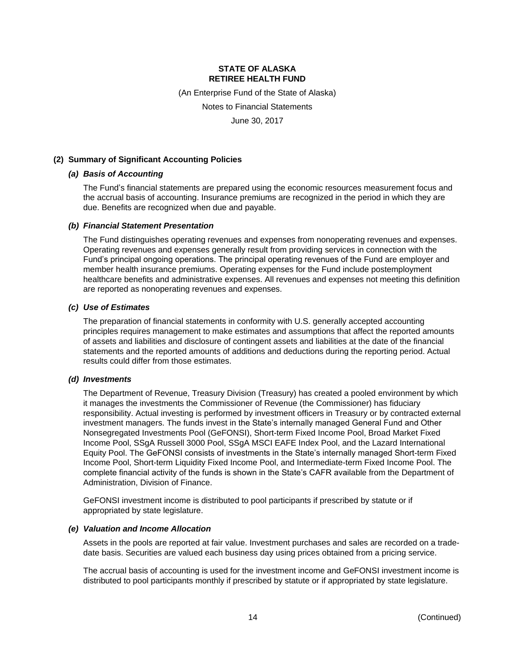(An Enterprise Fund of the State of Alaska)

Notes to Financial Statements

June 30, 2017

# **(2) Summary of Significant Accounting Policies**

### *(a) Basis of Accounting*

The Fund's financial statements are prepared using the economic resources measurement focus and the accrual basis of accounting. Insurance premiums are recognized in the period in which they are due. Benefits are recognized when due and payable.

### *(b) Financial Statement Presentation*

The Fund distinguishes operating revenues and expenses from nonoperating revenues and expenses. Operating revenues and expenses generally result from providing services in connection with the Fund's principal ongoing operations. The principal operating revenues of the Fund are employer and member health insurance premiums. Operating expenses for the Fund include postemployment healthcare benefits and administrative expenses. All revenues and expenses not meeting this definition are reported as nonoperating revenues and expenses.

### *(c) Use of Estimates*

The preparation of financial statements in conformity with U.S. generally accepted accounting principles requires management to make estimates and assumptions that affect the reported amounts of assets and liabilities and disclosure of contingent assets and liabilities at the date of the financial statements and the reported amounts of additions and deductions during the reporting period. Actual results could differ from those estimates.

### *(d) Investments*

The Department of Revenue, Treasury Division (Treasury) has created a pooled environment by which it manages the investments the Commissioner of Revenue (the Commissioner) has fiduciary responsibility. Actual investing is performed by investment officers in Treasury or by contracted external investment managers. The funds invest in the State's internally managed General Fund and Other Nonsegregated Investments Pool (GeFONSI), Short-term Fixed Income Pool, Broad Market Fixed Income Pool, SSgA Russell 3000 Pool, SSgA MSCI EAFE Index Pool, and the Lazard International Equity Pool. The GeFONSI consists of investments in the State's internally managed Short-term Fixed Income Pool, Short-term Liquidity Fixed Income Pool, and Intermediate-term Fixed Income Pool. The complete financial activity of the funds is shown in the State's CAFR available from the Department of Administration, Division of Finance.

GeFONSI investment income is distributed to pool participants if prescribed by statute or if appropriated by state legislature.

### *(e) Valuation and Income Allocation*

Assets in the pools are reported at fair value. Investment purchases and sales are recorded on a tradedate basis. Securities are valued each business day using prices obtained from a pricing service.

The accrual basis of accounting is used for the investment income and GeFONSI investment income is distributed to pool participants monthly if prescribed by statute or if appropriated by state legislature.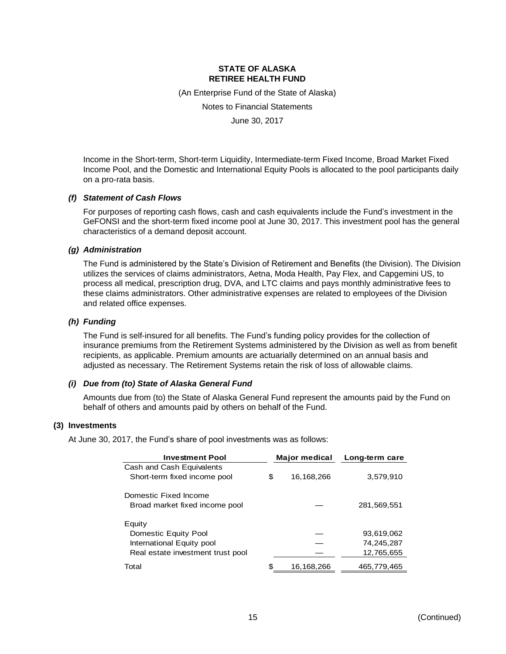(An Enterprise Fund of the State of Alaska)

Notes to Financial Statements

June 30, 2017

Income in the Short-term, Short-term Liquidity, Intermediate-term Fixed Income, Broad Market Fixed Income Pool, and the Domestic and International Equity Pools is allocated to the pool participants daily on a pro-rata basis.

### *(f) Statement of Cash Flows*

For purposes of reporting cash flows, cash and cash equivalents include the Fund's investment in the GeFONSI and the short-term fixed income pool at June 30, 2017. This investment pool has the general characteristics of a demand deposit account.

### *(g) Administration*

The Fund is administered by the State's Division of Retirement and Benefits (the Division). The Division utilizes the services of claims administrators, Aetna, Moda Health, Pay Flex, and Capgemini US, to process all medical, prescription drug, DVA, and LTC claims and pays monthly administrative fees to these claims administrators. Other administrative expenses are related to employees of the Division and related office expenses.

# *(h) Funding*

The Fund is self-insured for all benefits. The Fund's funding policy provides for the collection of insurance premiums from the Retirement Systems administered by the Division as well as from benefit recipients, as applicable. Premium amounts are actuarially determined on an annual basis and adjusted as necessary. The Retirement Systems retain the risk of loss of allowable claims.

# *(i) Due from (to) State of Alaska General Fund*

Amounts due from (to) the State of Alaska General Fund represent the amounts paid by the Fund on behalf of others and amounts paid by others on behalf of the Fund.

### **(3) Investments**

At June 30, 2017, the Fund's share of pool investments was as follows:

| <b>Investment Pool</b>                                    |    | <b>Major medical</b> | Long-term care |
|-----------------------------------------------------------|----|----------------------|----------------|
| Cash and Cash Equivalents<br>Short-term fixed income pool | \$ | 16.168.266           | 3,579,910      |
| Domestic Fixed Income<br>Broad market fixed income pool   |    |                      | 281,569,551    |
| Equity                                                    |    |                      |                |
| Domestic Equity Pool                                      |    |                      | 93,619,062     |
| International Equity pool                                 |    |                      | 74,245,287     |
| Real estate investment trust pool                         |    |                      | 12,765,655     |
| Total                                                     | Я  | 16,168,266           | 465,779,465    |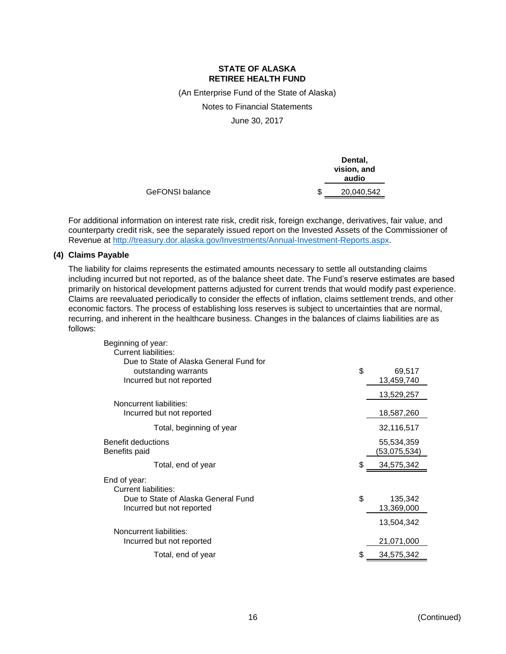(An Enterprise Fund of the State of Alaska)

Notes to Financial Statements

June 30, 2017

| Dental,<br>vision, and<br>audio |
|---------------------------------|
| 20,040,542                      |
|                                 |

For additional information on interest rate risk, credit risk, foreign exchange, derivatives, fair value, and counterparty credit risk, see the separately issued report on the Invested Assets of the Commissioner of Revenue at [http://treasury.dor.alaska.gov/Investments/Annual-Investment-Reports.aspx.](http://treasury.dor.alaska.gov/Investments/Annual-Investment-Reports.aspx)

### **(4) Claims Payable**

The liability for claims represents the estimated amounts necessary to settle all outstanding claims including incurred but not reported, as of the balance sheet date. The Fund's reserve estimates are based primarily on historical development patterns adjusted for current trends that would modify past experience. Claims are reevaluated periodically to consider the effects of inflation, claims settlement trends, and other economic factors. The process of establishing loss reserves is subject to uncertainties that are normal, recurring, and inherent in the healthcare business. Changes in the balances of claims liabilities are as follows:

| Beginning of year:<br>Current liabilities:<br>Due to State of Alaska General Fund for |    |              |
|---------------------------------------------------------------------------------------|----|--------------|
| outstanding warrants                                                                  | \$ | 69,517       |
| Incurred but not reported                                                             |    | 13,459,740   |
|                                                                                       |    | 13,529,257   |
| Noncurrent liabilities:                                                               |    |              |
| Incurred but not reported                                                             |    | 18,587,260   |
| Total, beginning of year                                                              |    | 32,116,517   |
| Benefit deductions                                                                    |    | 55,534,359   |
| Benefits paid                                                                         |    | (53,075,534) |
| Total, end of year                                                                    | S  | 34,575,342   |
| End of year:<br>Current liabilities:                                                  |    |              |
| Due to State of Alaska General Fund                                                   | \$ | 135,342      |
| Incurred but not reported                                                             |    | 13,369,000   |
|                                                                                       |    | 13,504,342   |
| Noncurrent liabilities:                                                               |    |              |
| Incurred but not reported                                                             |    | 21,071,000   |
| Total, end of year                                                                    | \$ | 34,575,342   |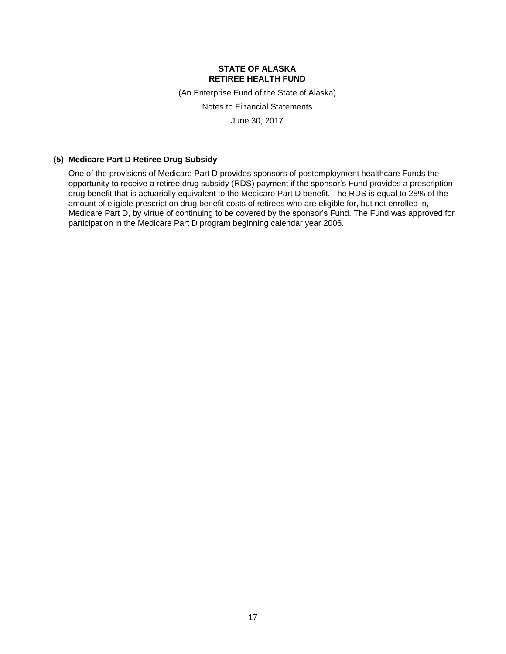(An Enterprise Fund of the State of Alaska)

Notes to Financial Statements

June 30, 2017

# **(5) Medicare Part D Retiree Drug Subsidy**

One of the provisions of Medicare Part D provides sponsors of postemployment healthcare Funds the opportunity to receive a retiree drug subsidy (RDS) payment if the sponsor's Fund provides a prescription drug benefit that is actuarially equivalent to the Medicare Part D benefit. The RDS is equal to 28% of the amount of eligible prescription drug benefit costs of retirees who are eligible for, but not enrolled in, Medicare Part D, by virtue of continuing to be covered by the sponsor's Fund. The Fund was approved for participation in the Medicare Part D program beginning calendar year 2006.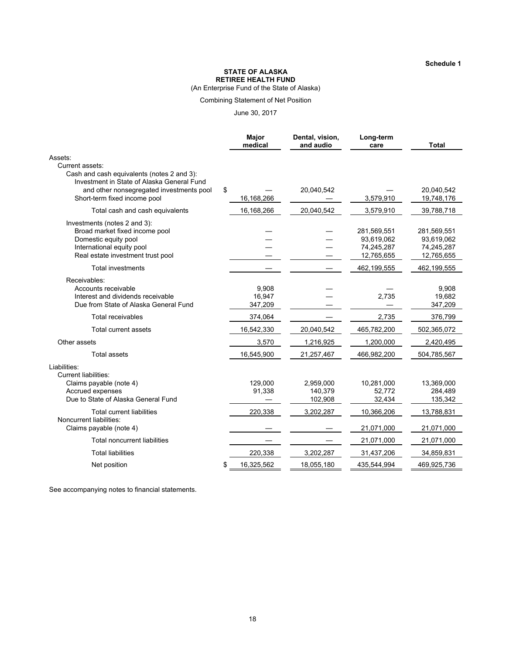**Schedule 1**

#### **STATE OF ALASKA RETIREE HEALTH FUND**

(An Enterprise Fund of the State of Alaska)

Combining Statement of Net Position

### June 30, 2017

|                                                                                                                                                                                         | Major<br>medical           | Dental, vision,<br>and audio    | Long-term<br>care                                     | <b>Total</b>                                          |
|-----------------------------------------------------------------------------------------------------------------------------------------------------------------------------------------|----------------------------|---------------------------------|-------------------------------------------------------|-------------------------------------------------------|
| Assets:                                                                                                                                                                                 |                            |                                 |                                                       |                                                       |
| Current assets:<br>Cash and cash equivalents (notes 2 and 3):<br>Investment in State of Alaska General Fund<br>and other nonsegregated investments pool<br>Short-term fixed income pool | \$<br>16,168,266           | 20,040,542                      | 3,579,910                                             | 20,040,542<br>19,748,176                              |
| Total cash and cash equivalents                                                                                                                                                         | 16,168,266                 | 20,040,542                      | 3,579,910                                             | 39,788,718                                            |
| Investments (notes 2 and 3):<br>Broad market fixed income pool<br>Domestic equity pool<br>International equity pool<br>Real estate investment trust pool                                |                            |                                 | 281,569,551<br>93,619,062<br>74,245,287<br>12,765,655 | 281,569,551<br>93,619,062<br>74,245,287<br>12,765,655 |
| <b>Total investments</b>                                                                                                                                                                |                            |                                 | 462,199,555                                           | 462,199,555                                           |
| Receivables:<br>Accounts receivable<br>Interest and dividends receivable<br>Due from State of Alaska General Fund                                                                       | 9,908<br>16,947<br>347,209 |                                 | 2,735                                                 | 9,908<br>19,682<br>347,209                            |
| Total receivables                                                                                                                                                                       | 374,064                    |                                 | 2,735                                                 | 376,799                                               |
| <b>Total current assets</b>                                                                                                                                                             | 16,542,330                 | 20,040,542                      | 465,782,200                                           | 502,365,072                                           |
| Other assets                                                                                                                                                                            | 3,570                      | 1,216,925                       | 1,200,000                                             | 2,420,495                                             |
| Total assets                                                                                                                                                                            | 16,545,900                 | 21,257,467                      | 466,982,200                                           | 504,785,567                                           |
| Liabilities:<br><b>Current liabilities:</b><br>Claims payable (note 4)<br>Accrued expenses<br>Due to State of Alaska General Fund                                                       | 129,000<br>91,338          | 2,959,000<br>140,379<br>102,908 | 10,281,000<br>52,772<br>32,434                        | 13,369,000<br>284,489<br>135,342                      |
| <b>Total current liabilities</b>                                                                                                                                                        | 220,338                    | 3,202,287                       | 10,366,206                                            | 13,788,831                                            |
| Noncurrent liabilities:<br>Claims payable (note 4)                                                                                                                                      |                            |                                 | 21,071,000                                            | 21,071,000                                            |
| <b>Total noncurrent liabilities</b>                                                                                                                                                     |                            |                                 | 21,071,000                                            | 21,071,000                                            |
| <b>Total liabilities</b>                                                                                                                                                                | 220,338                    | 3,202,287                       | 31,437,206                                            | 34,859,831                                            |
| Net position                                                                                                                                                                            | \$<br>16,325,562           | 18,055,180                      | 435,544,994                                           | 469,925,736                                           |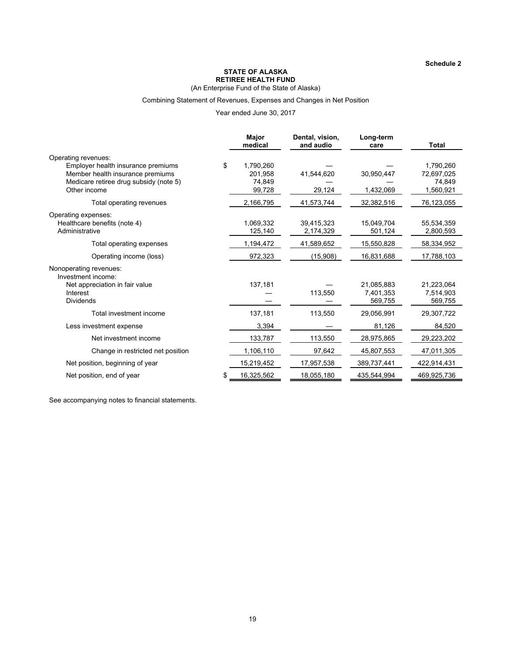# (An Enterprise Fund of the State of Alaska)

# Combining Statement of Revenues, Expenses and Changes in Net Position

### Year ended June 30, 2017

|                                                                                                                                         | Major<br>medical                     | Dental, vision,<br>and audio | Long-term<br>care                  | <b>Total</b>                       |
|-----------------------------------------------------------------------------------------------------------------------------------------|--------------------------------------|------------------------------|------------------------------------|------------------------------------|
| Operating revenues:<br>Employer health insurance premiums<br>Member health insurance premiums<br>Medicare retiree drug subsidy (note 5) | \$<br>1,790,260<br>201.958<br>74,849 | 41,544,620                   | 30,950,447                         | 1.790.260<br>72,697,025<br>74,849  |
| Other income                                                                                                                            | 99,728                               | 29,124                       | 1,432,069                          | 1,560,921                          |
| Total operating revenues                                                                                                                | 2,166,795                            | 41,573,744                   | 32,382,516                         | 76,123,055                         |
| Operating expenses:<br>Healthcare benefits (note 4)<br>Administrative                                                                   | 1,069,332<br>125,140                 | 39,415,323<br>2,174,329      | 15,049,704<br>501,124              | 55,534,359<br>2,800,593            |
| Total operating expenses                                                                                                                | 1,194,472                            | 41,589,652                   | 15,550,828                         | 58,334,952                         |
| Operating income (loss)                                                                                                                 | 972,323                              | (15,908)                     | 16,831,688                         | 17,788,103                         |
| Nonoperating revenues:<br>Investment income:                                                                                            |                                      |                              |                                    |                                    |
| Net appreciation in fair value<br>Interest<br><b>Dividends</b>                                                                          | 137,181                              | 113,550                      | 21.085.883<br>7.401.353<br>569,755 | 21,223,064<br>7.514.903<br>569,755 |
| Total investment income                                                                                                                 | 137,181                              | 113,550                      | 29,056,991                         | 29,307,722                         |
| Less investment expense                                                                                                                 | 3,394                                |                              | 81,126                             | 84,520                             |
| Net investment income                                                                                                                   | 133,787                              | 113,550                      | 28,975,865                         | 29,223,202                         |
| Change in restricted net position                                                                                                       | 1,106,110                            | 97,642                       | 45,807,553                         | 47,011,305                         |
| Net position, beginning of year                                                                                                         | 15,219,452                           | 17,957,538                   | 389,737,441                        | 422,914,431                        |
| Net position, end of year                                                                                                               | \$<br>16,325,562                     | 18,055,180                   | 435,544,994                        | 469,925,736                        |